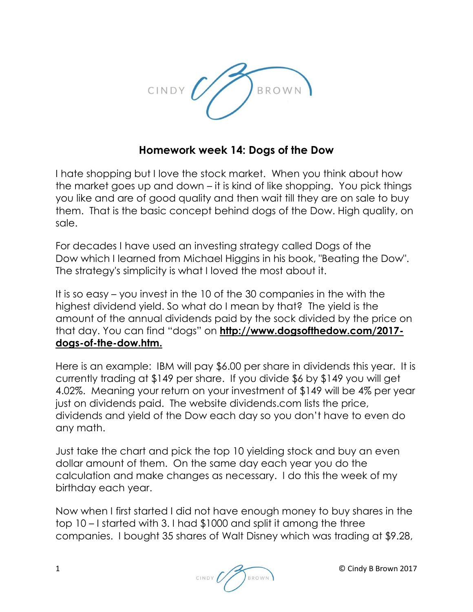

## **Homework week 14: Dogs of the Dow**

I hate shopping but I love the stock market. When you think about how the market goes up and down – it is kind of like shopping. You pick things you like and are of good quality and then wait till they are on sale to buy them. That is the basic concept behind dogs of the Dow. High quality, on sale.

For decades I have used an investing strategy called [Dogs of the](https://www.investopedia.com/terms/d/dogsofthedow.asp)  [Dow](https://www.investopedia.com/terms/d/dogsofthedow.asp) which I learned from Michael Higgins in his book, "Beating the Dow". The strategy's simplicity is what I loved the most about it.

It is so easy – you invest in the 10 of the 30 companies in the with the highest [dividend yield.](https://www.investopedia.com/terms/d/dividendyield.asp) So what do I mean by that? The yield is the amount of the annual dividends paid by the sock divided by the price on that day. You can find "dogs" on **http://www.dogsofthedow.com/2017 dogs-of-the-dow.htm.**

Here is an example: IBM will pay \$6.00 per share in dividends this year. It is currently trading at \$149 per share. If you divide \$6 by \$149 you will get 4.02%. Meaning your return on your investment of \$149 will be 4% per year just on dividends paid. The website dividends.com lists the price, dividends and yield of the Dow each day so you don't have to even do any math.

Just take the chart and pick the top 10 yielding stock and buy an even dollar amount of them. On the same day each year you do the calculation and make changes as necessary. I do this the week of my birthday each year.

Now when I first started I did not have enough money to buy shares in the top 10 – I started with 3. I had \$1000 and split it among the three companies. I bought 35 shares of Walt Disney which was trading at \$9.28,

1 © Cindy B Brown 2017